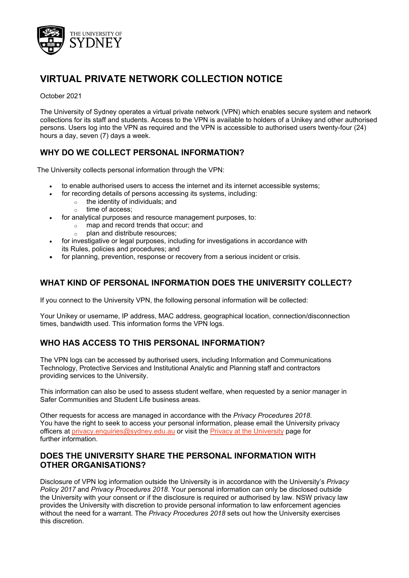

# **VIRTUAL PRIVATE NETWORK COLLECTION NOTICE**

#### October 2021

The University of Sydney operates a virtual private network (VPN) which enables secure system and network collections for its staff and students. Access to the VPN is available to holders of a Unikey and other authorised persons. Users log into the VPN as required and the VPN is accessible to authorised users twenty-four (24) hours a day, seven (7) days a week.

# **WHY DO WE COLLECT PERSONAL INFORMATION?**

The University collects personal information through the VPN:

- to enable authorised users to access the internet and its internet accessible systems;
- for recording details of persons accessing its systems, including:
	- $\circ$  the identity of individuals; and
		- o time of access;
- for analytical purposes and resource management purposes, to:
	- o map and record trends that occur; and
		- plan and distribute resources:
- for investigative or legal purposes, including for investigations in accordance with its Rules, policies and procedures; and
- for planning, prevention, response or recovery from a serious incident or crisis.

# **WHAT KIND OF PERSONAL INFORMATION DOES THE UNIVERSITY COLLECT?**

If you connect to the University VPN, the following personal information will be collected:

Your Unikey or username, IP address, MAC address, geographical location, connection/disconnection times, bandwidth used. This information forms the VPN logs.

# **WHO HAS ACCESS TO THIS PERSONAL INFORMATION?**

The VPN logs can be accessed by authorised users, including Information and Communications Technology, Protective Services and Institutional Analytic and Planning staff and contractors providing services to the University.

This information can also be used to assess student welfare, when requested by a senior manager in Safer Communities and Student Life business areas.

Other requests for access are managed in accordance with the *Privacy Procedures 2018*. You have the right to seek to access your personal information, please email the University privacy officers at [privacy.enquiries@sydney.edu.au](mailto:privacy.enquiries@sydney.edu.au) or visit the [Privacy at the University](https://sydney.edu.au/about-us/governance-and-structure/privacy-and-university-information.html) [page](https://sydney.edu.au/about-us/governance-and-structure/privacy-and-university-information.html) for further information.

# **DOES THE UNIVERSITY SHARE THE PERSONAL INFORMATION WITH OTHER ORGANISATIONS?**

Disclosure of VPN log information outside the University is in accordance with the University's *Privacy Policy 2017* and *Privacy Procedures 2018*. Your personal information can only be disclosed outside the University with your consent or if the disclosure is required or authorised by law. NSW privacy law provides the University with discretion to provide personal information to law enforcement agencies without the need for a warrant. The *Privacy Procedures 2018* sets out how the University exercises this discretion.